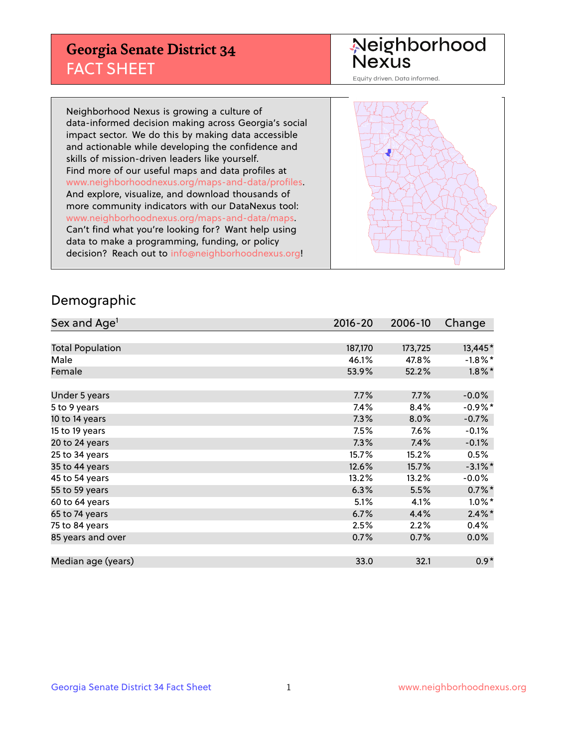## **Georgia Senate District 34** FACT SHEET

# Neighborhood<br>Nexus

Equity driven. Data informed.

Neighborhood Nexus is growing a culture of data-informed decision making across Georgia's social impact sector. We do this by making data accessible and actionable while developing the confidence and skills of mission-driven leaders like yourself. Find more of our useful maps and data profiles at www.neighborhoodnexus.org/maps-and-data/profiles. And explore, visualize, and download thousands of more community indicators with our DataNexus tool: www.neighborhoodnexus.org/maps-and-data/maps. Can't find what you're looking for? Want help using data to make a programming, funding, or policy decision? Reach out to [info@neighborhoodnexus.org!](mailto:info@neighborhoodnexus.org)



#### Demographic

| Sex and Age <sup>1</sup> | $2016 - 20$ | 2006-10 | Change     |
|--------------------------|-------------|---------|------------|
|                          |             |         |            |
| <b>Total Population</b>  | 187,170     | 173,725 | 13,445*    |
| Male                     | 46.1%       | 47.8%   | $-1.8\%$ * |
| Female                   | 53.9%       | 52.2%   | $1.8\%$ *  |
|                          |             |         |            |
| Under 5 years            | 7.7%        | 7.7%    | $-0.0\%$   |
| 5 to 9 years             | 7.4%        | 8.4%    | $-0.9\%$ * |
| 10 to 14 years           | 7.3%        | 8.0%    | $-0.7%$    |
| 15 to 19 years           | 7.5%        | 7.6%    | $-0.1%$    |
| 20 to 24 years           | 7.3%        | 7.4%    | $-0.1%$    |
| 25 to 34 years           | 15.7%       | 15.2%   | 0.5%       |
| 35 to 44 years           | 12.6%       | 15.7%   | $-3.1\%$ * |
| 45 to 54 years           | 13.2%       | 13.2%   | $-0.0\%$   |
| 55 to 59 years           | 6.3%        | 5.5%    | $0.7\%$ *  |
| 60 to 64 years           | 5.1%        | 4.1%    | $1.0\%$ *  |
| 65 to 74 years           | 6.7%        | 4.4%    | $2.4\%$ *  |
| 75 to 84 years           | 2.5%        | 2.2%    | 0.4%       |
| 85 years and over        | 0.7%        | 0.7%    | 0.0%       |
|                          |             |         |            |
| Median age (years)       | 33.0        | 32.1    | $0.9*$     |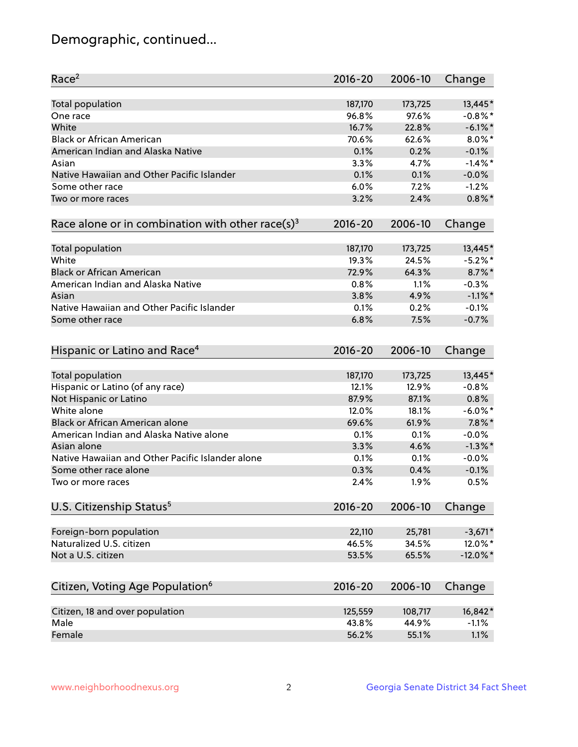## Demographic, continued...

| Race <sup>2</sup>                                            | $2016 - 20$ | 2006-10 | Change      |
|--------------------------------------------------------------|-------------|---------|-------------|
| <b>Total population</b>                                      | 187,170     | 173,725 | 13,445*     |
| One race                                                     | 96.8%       | 97.6%   | $-0.8\%$ *  |
| White                                                        | 16.7%       | 22.8%   | $-6.1\%$ *  |
| <b>Black or African American</b>                             | 70.6%       | 62.6%   | $8.0\%$ *   |
| American Indian and Alaska Native                            | 0.1%        | 0.2%    | $-0.1%$     |
| Asian                                                        | 3.3%        | 4.7%    | $-1.4\%$ *  |
| Native Hawaiian and Other Pacific Islander                   | 0.1%        | 0.1%    | $-0.0%$     |
| Some other race                                              | 6.0%        | 7.2%    | $-1.2%$     |
| Two or more races                                            | 3.2%        | 2.4%    | $0.8\%$ *   |
| Race alone or in combination with other race(s) <sup>3</sup> | $2016 - 20$ | 2006-10 | Change      |
|                                                              |             |         |             |
| Total population                                             | 187,170     | 173,725 | 13,445*     |
| White                                                        | 19.3%       | 24.5%   | $-5.2\%$ *  |
| <b>Black or African American</b>                             | 72.9%       | 64.3%   | $8.7\%$ *   |
| American Indian and Alaska Native                            | 0.8%        | 1.1%    | $-0.3%$     |
| Asian                                                        | 3.8%        | 4.9%    | $-1.1\%$ *  |
| Native Hawaiian and Other Pacific Islander                   | 0.1%        | 0.2%    | $-0.1%$     |
| Some other race                                              | 6.8%        | 7.5%    | $-0.7%$     |
|                                                              |             |         |             |
| Hispanic or Latino and Race <sup>4</sup>                     | $2016 - 20$ | 2006-10 | Change      |
|                                                              |             |         |             |
| <b>Total population</b>                                      | 187,170     | 173,725 | 13,445*     |
| Hispanic or Latino (of any race)                             | 12.1%       | 12.9%   | $-0.8%$     |
| Not Hispanic or Latino                                       | 87.9%       | 87.1%   | 0.8%        |
| White alone                                                  | 12.0%       | 18.1%   | $-6.0\%$ *  |
| Black or African American alone                              | 69.6%       | 61.9%   | $7.8\%$ *   |
| American Indian and Alaska Native alone                      | 0.1%        | 0.1%    | $-0.0%$     |
| Asian alone                                                  | 3.3%        | 4.6%    | $-1.3\%$ *  |
| Native Hawaiian and Other Pacific Islander alone             | 0.1%        | 0.1%    | $-0.0%$     |
| Some other race alone                                        | 0.3%        | 0.4%    | $-0.1%$     |
| Two or more races                                            | 2.4%        | 1.9%    | 0.5%        |
| U.S. Citizenship Status <sup>5</sup>                         | $2016 - 20$ | 2006-10 | Change      |
|                                                              |             |         |             |
| Foreign-born population                                      | 22,110      | 25,781  | $-3,671*$   |
| Naturalized U.S. citizen                                     | 46.5%       | 34.5%   | 12.0%*      |
| Not a U.S. citizen                                           | 53.5%       | 65.5%   | $-12.0\%$ * |
| Citizen, Voting Age Population <sup>6</sup>                  | $2016 - 20$ | 2006-10 | Change      |
| Citizen, 18 and over population                              | 125,559     | 108,717 | 16,842*     |
| Male                                                         | 43.8%       | 44.9%   | $-1.1%$     |
| Female                                                       | 56.2%       | 55.1%   | 1.1%        |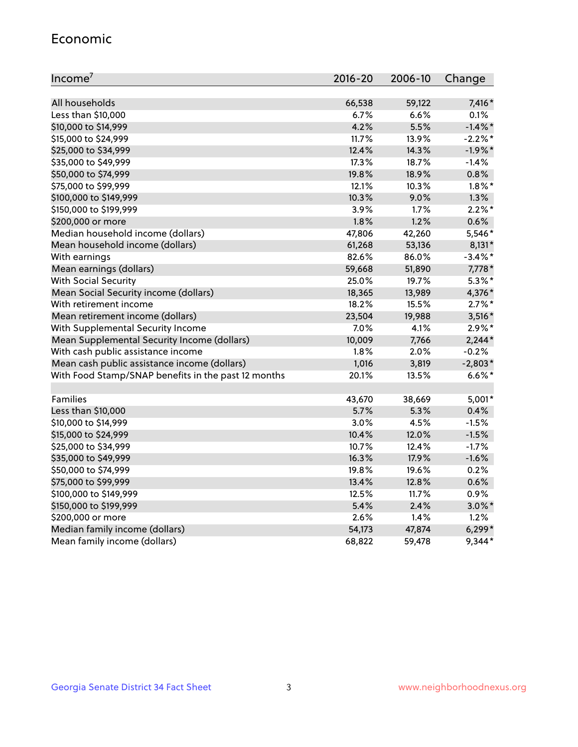#### Economic

| Income <sup>7</sup>                                 | $2016 - 20$ | 2006-10 | Change     |
|-----------------------------------------------------|-------------|---------|------------|
|                                                     |             |         |            |
| All households                                      | 66,538      | 59,122  | 7,416*     |
| Less than \$10,000                                  | $6.7\%$     | 6.6%    | 0.1%       |
| \$10,000 to \$14,999                                | 4.2%        | 5.5%    | $-1.4\%$ * |
| \$15,000 to \$24,999                                | 11.7%       | 13.9%   | $-2.2%$ *  |
| \$25,000 to \$34,999                                | 12.4%       | 14.3%   | $-1.9%$ *  |
| \$35,000 to \$49,999                                | 17.3%       | 18.7%   | $-1.4%$    |
| \$50,000 to \$74,999                                | 19.8%       | 18.9%   | 0.8%       |
| \$75,000 to \$99,999                                | 12.1%       | 10.3%   | $1.8\%$ *  |
| \$100,000 to \$149,999                              | 10.3%       | 9.0%    | 1.3%       |
| \$150,000 to \$199,999                              | 3.9%        | 1.7%    | $2.2\%$ *  |
| \$200,000 or more                                   | 1.8%        | 1.2%    | 0.6%       |
| Median household income (dollars)                   | 47,806      | 42,260  | 5,546*     |
| Mean household income (dollars)                     | 61,268      | 53,136  | $8,131*$   |
| With earnings                                       | 82.6%       | 86.0%   | $-3.4\%$ * |
| Mean earnings (dollars)                             | 59,668      | 51,890  | 7,778 *    |
| <b>With Social Security</b>                         | 25.0%       | 19.7%   | $5.3\%$ *  |
| Mean Social Security income (dollars)               | 18,365      | 13,989  | 4,376*     |
| With retirement income                              | 18.2%       | 15.5%   | $2.7\%$ *  |
| Mean retirement income (dollars)                    | 23,504      | 19,988  | $3,516*$   |
| With Supplemental Security Income                   | 7.0%        | 4.1%    | $2.9\%*$   |
| Mean Supplemental Security Income (dollars)         | 10,009      | 7,766   | $2,244*$   |
| With cash public assistance income                  | 1.8%        | 2.0%    | $-0.2%$    |
| Mean cash public assistance income (dollars)        | 1,016       | 3,819   | $-2,803*$  |
| With Food Stamp/SNAP benefits in the past 12 months | 20.1%       | 13.5%   | $6.6\%$ *  |
|                                                     |             |         |            |
| Families                                            | 43,670      | 38,669  | $5,001*$   |
| Less than \$10,000                                  | 5.7%        | 5.3%    | 0.4%       |
| \$10,000 to \$14,999                                | 3.0%        | 4.5%    | $-1.5%$    |
| \$15,000 to \$24,999                                | 10.4%       | 12.0%   | $-1.5%$    |
| \$25,000 to \$34,999                                | 10.7%       | 12.4%   | $-1.7%$    |
| \$35,000 to \$49,999                                | 16.3%       | 17.9%   | $-1.6%$    |
| \$50,000 to \$74,999                                | 19.8%       | 19.6%   | 0.2%       |
| \$75,000 to \$99,999                                | 13.4%       | 12.8%   | 0.6%       |
| \$100,000 to \$149,999                              | 12.5%       | 11.7%   | 0.9%       |
| \$150,000 to \$199,999                              | 5.4%        | 2.4%    | $3.0\%$ *  |
| \$200,000 or more                                   | 2.6%        | 1.4%    | 1.2%       |
| Median family income (dollars)                      | 54,173      | 47,874  | $6,299*$   |
| Mean family income (dollars)                        | 68,822      | 59,478  | 9,344*     |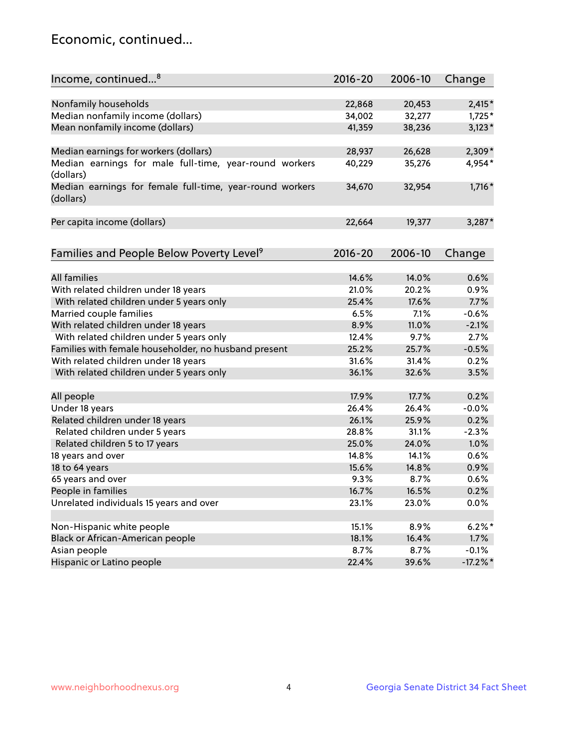## Economic, continued...

| Income, continued <sup>8</sup>                                        | $2016 - 20$ | 2006-10 | Change      |
|-----------------------------------------------------------------------|-------------|---------|-------------|
|                                                                       |             |         |             |
| Nonfamily households                                                  | 22,868      | 20,453  | $2,415*$    |
| Median nonfamily income (dollars)                                     | 34,002      | 32,277  | $1,725*$    |
| Mean nonfamily income (dollars)                                       | 41,359      | 38,236  | $3,123*$    |
| Median earnings for workers (dollars)                                 | 28,937      | 26,628  | 2,309*      |
| Median earnings for male full-time, year-round workers<br>(dollars)   | 40,229      | 35,276  | 4,954*      |
| Median earnings for female full-time, year-round workers<br>(dollars) | 34,670      | 32,954  | $1,716*$    |
| Per capita income (dollars)                                           | 22,664      | 19,377  | $3,287*$    |
|                                                                       |             |         |             |
| Families and People Below Poverty Level <sup>9</sup>                  | $2016 - 20$ | 2006-10 | Change      |
| <b>All families</b>                                                   | 14.6%       | 14.0%   | 0.6%        |
| With related children under 18 years                                  | 21.0%       | 20.2%   | 0.9%        |
| With related children under 5 years only                              | 25.4%       | 17.6%   | 7.7%        |
| Married couple families                                               | 6.5%        | 7.1%    | $-0.6%$     |
| With related children under 18 years                                  | 8.9%        | 11.0%   | $-2.1%$     |
| With related children under 5 years only                              | 12.4%       | 9.7%    | 2.7%        |
| Families with female householder, no husband present                  | 25.2%       | 25.7%   | $-0.5%$     |
| With related children under 18 years                                  | 31.6%       | 31.4%   | 0.2%        |
| With related children under 5 years only                              | 36.1%       | 32.6%   | 3.5%        |
|                                                                       |             |         |             |
| All people                                                            | 17.9%       | 17.7%   | 0.2%        |
| Under 18 years                                                        | 26.4%       | 26.4%   | $-0.0%$     |
| Related children under 18 years                                       | 26.1%       | 25.9%   | 0.2%        |
| Related children under 5 years                                        | 28.8%       | 31.1%   | $-2.3%$     |
| Related children 5 to 17 years                                        | 25.0%       | 24.0%   | 1.0%        |
| 18 years and over                                                     | 14.8%       | 14.1%   | 0.6%        |
| 18 to 64 years                                                        | 15.6%       | 14.8%   | 0.9%        |
| 65 years and over                                                     | 9.3%        | 8.7%    | 0.6%        |
| People in families                                                    | 16.7%       | 16.5%   | 0.2%        |
| Unrelated individuals 15 years and over                               | 23.1%       | 23.0%   | 0.0%        |
|                                                                       |             |         |             |
| Non-Hispanic white people                                             | 15.1%       | 8.9%    | $6.2%$ *    |
| Black or African-American people                                      | 18.1%       | 16.4%   | 1.7%        |
| Asian people                                                          | 8.7%        | 8.7%    | $-0.1%$     |
| Hispanic or Latino people                                             | 22.4%       | 39.6%   | $-17.2\%$ * |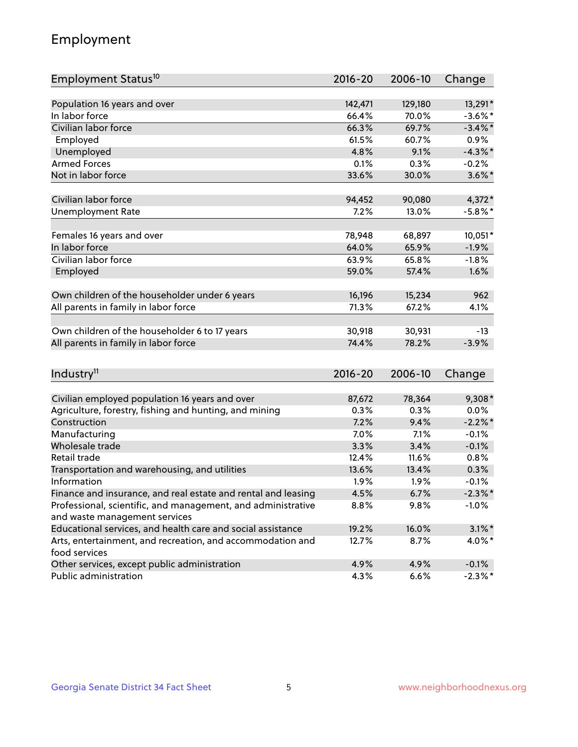## Employment

| Employment Status <sup>10</sup>                                             | $2016 - 20$ | 2006-10 | Change     |
|-----------------------------------------------------------------------------|-------------|---------|------------|
|                                                                             |             |         |            |
| Population 16 years and over                                                | 142,471     | 129,180 | 13,291*    |
| In labor force                                                              | 66.4%       | 70.0%   | $-3.6\%$ * |
| Civilian labor force                                                        | 66.3%       | 69.7%   | $-3.4\%$ * |
| Employed                                                                    | 61.5%       | 60.7%   | 0.9%       |
| Unemployed                                                                  | 4.8%        | 9.1%    | $-4.3\%$ * |
| <b>Armed Forces</b>                                                         | 0.1%        | 0.3%    | $-0.2%$    |
| Not in labor force                                                          | 33.6%       | 30.0%   | $3.6\%$ *  |
| Civilian labor force                                                        | 94,452      | 90,080  | 4,372*     |
| <b>Unemployment Rate</b>                                                    | 7.2%        | 13.0%   | $-5.8\%$ * |
|                                                                             |             |         |            |
| Females 16 years and over                                                   | 78,948      | 68,897  | 10,051*    |
| In labor force                                                              | 64.0%       | 65.9%   | $-1.9%$    |
| Civilian labor force                                                        | 63.9%       | 65.8%   | $-1.8%$    |
| Employed                                                                    | 59.0%       | 57.4%   | 1.6%       |
| Own children of the householder under 6 years                               | 16,196      | 15,234  | 962        |
|                                                                             | 71.3%       | 67.2%   | 4.1%       |
| All parents in family in labor force                                        |             |         |            |
| Own children of the householder 6 to 17 years                               | 30,918      | 30,931  | $-13$      |
| All parents in family in labor force                                        | 74.4%       | 78.2%   | $-3.9%$    |
|                                                                             |             |         |            |
| Industry <sup>11</sup>                                                      | $2016 - 20$ | 2006-10 | Change     |
|                                                                             |             |         |            |
| Civilian employed population 16 years and over                              | 87,672      | 78,364  | $9,308*$   |
| Agriculture, forestry, fishing and hunting, and mining                      | 0.3%        | 0.3%    | 0.0%       |
| Construction                                                                | 7.2%        | 9.4%    | $-2.2\%$ * |
| Manufacturing                                                               | 7.0%        | 7.1%    | $-0.1%$    |
| Wholesale trade                                                             | 3.3%        | 3.4%    | $-0.1%$    |
| Retail trade                                                                | 12.4%       | 11.6%   | 0.8%       |
| Transportation and warehousing, and utilities                               | 13.6%       | 13.4%   | 0.3%       |
| Information                                                                 | 1.9%        | 1.9%    | $-0.1%$    |
| Finance and insurance, and real estate and rental and leasing               | 4.5%        | 6.7%    | $-2.3\%$ * |
| Professional, scientific, and management, and administrative                | 8.8%        | 9.8%    | $-1.0%$    |
| and waste management services                                               |             |         |            |
| Educational services, and health care and social assistance                 | 19.2%       | 16.0%   | $3.1\%$ *  |
| Arts, entertainment, and recreation, and accommodation and<br>food services | 12.7%       | 8.7%    | $4.0\%$ *  |
| Other services, except public administration                                | 4.9%        | 4.9%    | $-0.1%$    |
| Public administration                                                       | 4.3%        | 6.6%    | $-2.3\%$ * |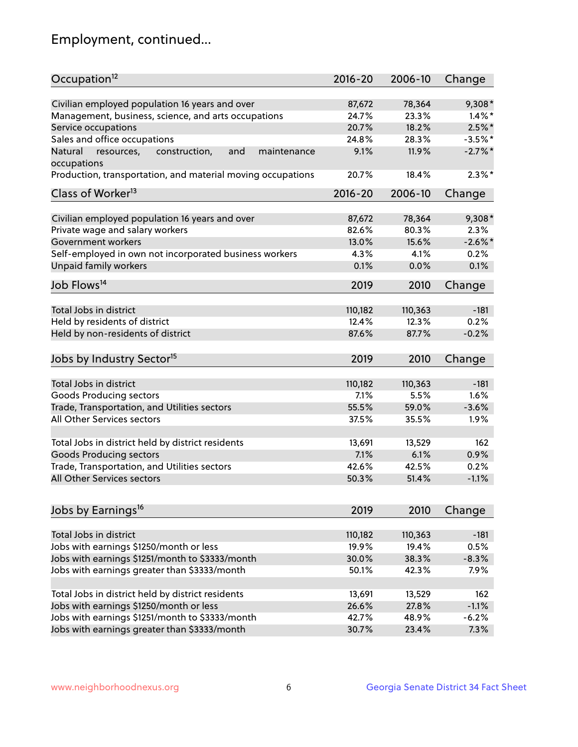## Employment, continued...

| Civilian employed population 16 years and over<br>78,364<br>87,672<br>$9,308*$<br>Management, business, science, and arts occupations<br>24.7%<br>23.3%<br>$1.4\%$ *<br>20.7%<br>$2.5\%$ *<br>Service occupations<br>18.2%<br>Sales and office occupations<br>24.8%<br>28.3%<br>$-3.5%$ *<br>9.1%<br>$-2.7\%$ *<br>Natural<br>and<br>11.9%<br>resources,<br>construction,<br>maintenance<br>occupations<br>$2.3\%$ *<br>Production, transportation, and material moving occupations<br>20.7%<br>18.4%<br>Class of Worker <sup>13</sup><br>$2016 - 20$<br>2006-10<br>Change<br>Civilian employed population 16 years and over<br>78,364<br>9,308*<br>87,672<br>Private wage and salary workers<br>82.6%<br>80.3%<br>2.3%<br>$-2.6\%$ *<br>15.6%<br>Government workers<br>13.0%<br>Self-employed in own not incorporated business workers<br>4.3%<br>0.2%<br>4.1% |
|-----------------------------------------------------------------------------------------------------------------------------------------------------------------------------------------------------------------------------------------------------------------------------------------------------------------------------------------------------------------------------------------------------------------------------------------------------------------------------------------------------------------------------------------------------------------------------------------------------------------------------------------------------------------------------------------------------------------------------------------------------------------------------------------------------------------------------------------------------------------|
|                                                                                                                                                                                                                                                                                                                                                                                                                                                                                                                                                                                                                                                                                                                                                                                                                                                                 |
|                                                                                                                                                                                                                                                                                                                                                                                                                                                                                                                                                                                                                                                                                                                                                                                                                                                                 |
|                                                                                                                                                                                                                                                                                                                                                                                                                                                                                                                                                                                                                                                                                                                                                                                                                                                                 |
|                                                                                                                                                                                                                                                                                                                                                                                                                                                                                                                                                                                                                                                                                                                                                                                                                                                                 |
|                                                                                                                                                                                                                                                                                                                                                                                                                                                                                                                                                                                                                                                                                                                                                                                                                                                                 |
|                                                                                                                                                                                                                                                                                                                                                                                                                                                                                                                                                                                                                                                                                                                                                                                                                                                                 |
|                                                                                                                                                                                                                                                                                                                                                                                                                                                                                                                                                                                                                                                                                                                                                                                                                                                                 |
|                                                                                                                                                                                                                                                                                                                                                                                                                                                                                                                                                                                                                                                                                                                                                                                                                                                                 |
|                                                                                                                                                                                                                                                                                                                                                                                                                                                                                                                                                                                                                                                                                                                                                                                                                                                                 |
|                                                                                                                                                                                                                                                                                                                                                                                                                                                                                                                                                                                                                                                                                                                                                                                                                                                                 |
|                                                                                                                                                                                                                                                                                                                                                                                                                                                                                                                                                                                                                                                                                                                                                                                                                                                                 |
|                                                                                                                                                                                                                                                                                                                                                                                                                                                                                                                                                                                                                                                                                                                                                                                                                                                                 |
|                                                                                                                                                                                                                                                                                                                                                                                                                                                                                                                                                                                                                                                                                                                                                                                                                                                                 |
| <b>Unpaid family workers</b><br>0.1%<br>0.1%<br>0.0%                                                                                                                                                                                                                                                                                                                                                                                                                                                                                                                                                                                                                                                                                                                                                                                                            |
| Job Flows <sup>14</sup><br>2019<br>2010<br>Change                                                                                                                                                                                                                                                                                                                                                                                                                                                                                                                                                                                                                                                                                                                                                                                                               |
|                                                                                                                                                                                                                                                                                                                                                                                                                                                                                                                                                                                                                                                                                                                                                                                                                                                                 |
| Total Jobs in district<br>110,182<br>110,363<br>$-181$                                                                                                                                                                                                                                                                                                                                                                                                                                                                                                                                                                                                                                                                                                                                                                                                          |
| Held by residents of district<br>0.2%<br>12.4%<br>12.3%                                                                                                                                                                                                                                                                                                                                                                                                                                                                                                                                                                                                                                                                                                                                                                                                         |
| Held by non-residents of district<br>$-0.2%$<br>87.6%<br>87.7%                                                                                                                                                                                                                                                                                                                                                                                                                                                                                                                                                                                                                                                                                                                                                                                                  |
| Jobs by Industry Sector <sup>15</sup><br>2019<br>2010<br>Change                                                                                                                                                                                                                                                                                                                                                                                                                                                                                                                                                                                                                                                                                                                                                                                                 |
| Total Jobs in district<br>$-181$                                                                                                                                                                                                                                                                                                                                                                                                                                                                                                                                                                                                                                                                                                                                                                                                                                |
| 110,182<br>110,363                                                                                                                                                                                                                                                                                                                                                                                                                                                                                                                                                                                                                                                                                                                                                                                                                                              |
| Goods Producing sectors<br>7.1%<br>5.5%<br>1.6%                                                                                                                                                                                                                                                                                                                                                                                                                                                                                                                                                                                                                                                                                                                                                                                                                 |
| Trade, Transportation, and Utilities sectors<br>55.5%<br>59.0%<br>$-3.6%$                                                                                                                                                                                                                                                                                                                                                                                                                                                                                                                                                                                                                                                                                                                                                                                       |
| All Other Services sectors<br>37.5%<br>1.9%<br>35.5%                                                                                                                                                                                                                                                                                                                                                                                                                                                                                                                                                                                                                                                                                                                                                                                                            |
| Total Jobs in district held by district residents<br>13,691<br>13,529<br>162                                                                                                                                                                                                                                                                                                                                                                                                                                                                                                                                                                                                                                                                                                                                                                                    |
| <b>Goods Producing sectors</b><br>7.1%<br>6.1%<br>0.9%                                                                                                                                                                                                                                                                                                                                                                                                                                                                                                                                                                                                                                                                                                                                                                                                          |
| Trade, Transportation, and Utilities sectors<br>0.2%<br>42.6%<br>42.5%                                                                                                                                                                                                                                                                                                                                                                                                                                                                                                                                                                                                                                                                                                                                                                                          |
| All Other Services sectors<br>$-1.1%$<br>50.3%<br>51.4%                                                                                                                                                                                                                                                                                                                                                                                                                                                                                                                                                                                                                                                                                                                                                                                                         |
|                                                                                                                                                                                                                                                                                                                                                                                                                                                                                                                                                                                                                                                                                                                                                                                                                                                                 |
| Jobs by Earnings <sup>16</sup><br>2019<br>2010<br>Change                                                                                                                                                                                                                                                                                                                                                                                                                                                                                                                                                                                                                                                                                                                                                                                                        |
|                                                                                                                                                                                                                                                                                                                                                                                                                                                                                                                                                                                                                                                                                                                                                                                                                                                                 |
| Total Jobs in district<br>$-181$<br>110,182<br>110,363                                                                                                                                                                                                                                                                                                                                                                                                                                                                                                                                                                                                                                                                                                                                                                                                          |
| Jobs with earnings \$1250/month or less<br>19.9%<br>19.4%<br>0.5%                                                                                                                                                                                                                                                                                                                                                                                                                                                                                                                                                                                                                                                                                                                                                                                               |
| Jobs with earnings \$1251/month to \$3333/month<br>$-8.3%$<br>30.0%<br>38.3%                                                                                                                                                                                                                                                                                                                                                                                                                                                                                                                                                                                                                                                                                                                                                                                    |
| Jobs with earnings greater than \$3333/month<br>50.1%<br>7.9%<br>42.3%                                                                                                                                                                                                                                                                                                                                                                                                                                                                                                                                                                                                                                                                                                                                                                                          |
| Total Jobs in district held by district residents<br>13,691<br>13,529<br>162                                                                                                                                                                                                                                                                                                                                                                                                                                                                                                                                                                                                                                                                                                                                                                                    |
| Jobs with earnings \$1250/month or less<br>26.6%<br>27.8%<br>$-1.1%$                                                                                                                                                                                                                                                                                                                                                                                                                                                                                                                                                                                                                                                                                                                                                                                            |
| Jobs with earnings \$1251/month to \$3333/month<br>42.7%<br>48.9%<br>$-6.2%$                                                                                                                                                                                                                                                                                                                                                                                                                                                                                                                                                                                                                                                                                                                                                                                    |
| Jobs with earnings greater than \$3333/month<br>30.7%<br>23.4%<br>7.3%                                                                                                                                                                                                                                                                                                                                                                                                                                                                                                                                                                                                                                                                                                                                                                                          |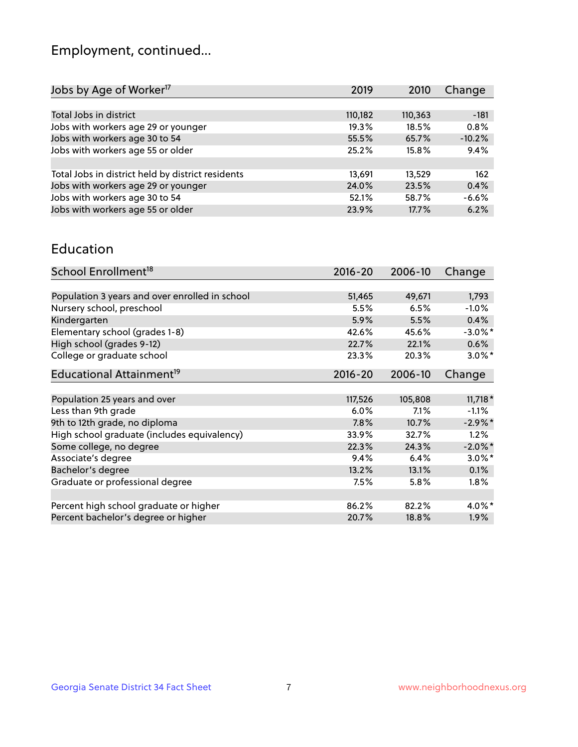## Employment, continued...

| Jobs by Age of Worker <sup>17</sup>               | 2019    | 2010    | Change   |
|---------------------------------------------------|---------|---------|----------|
|                                                   |         |         |          |
| Total Jobs in district                            | 110,182 | 110,363 | $-181$   |
| Jobs with workers age 29 or younger               | 19.3%   | 18.5%   | 0.8%     |
| Jobs with workers age 30 to 54                    | 55.5%   | 65.7%   | $-10.2%$ |
| Jobs with workers age 55 or older                 | 25.2%   | 15.8%   | 9.4%     |
|                                                   |         |         |          |
| Total Jobs in district held by district residents | 13,691  | 13,529  | 162      |
| Jobs with workers age 29 or younger               | 24.0%   | 23.5%   | 0.4%     |
| Jobs with workers age 30 to 54                    | 52.1%   | 58.7%   | $-6.6%$  |
| Jobs with workers age 55 or older                 | 23.9%   | 17.7%   | 6.2%     |
|                                                   |         |         |          |

#### Education

| School Enrollment <sup>18</sup>                | $2016 - 20$ | 2006-10 | Change     |
|------------------------------------------------|-------------|---------|------------|
|                                                |             |         |            |
| Population 3 years and over enrolled in school | 51,465      | 49,671  | 1,793      |
| Nursery school, preschool                      | 5.5%        | 6.5%    | $-1.0%$    |
| Kindergarten                                   | 5.9%        | 5.5%    | 0.4%       |
| Elementary school (grades 1-8)                 | 42.6%       | 45.6%   | $-3.0\%$ * |
| High school (grades 9-12)                      | 22.7%       | 22.1%   | 0.6%       |
| College or graduate school                     | 23.3%       | 20.3%   | $3.0\%$ *  |
| Educational Attainment <sup>19</sup>           | $2016 - 20$ | 2006-10 | Change     |
|                                                |             |         |            |
| Population 25 years and over                   | 117,526     | 105,808 | $11,718*$  |
| Less than 9th grade                            | 6.0%        | 7.1%    | $-1.1%$    |
| 9th to 12th grade, no diploma                  | 7.8%        | 10.7%   | $-2.9\%$ * |
| High school graduate (includes equivalency)    | 33.9%       | 32.7%   | 1.2%       |
| Some college, no degree                        | 22.3%       | 24.3%   | $-2.0\%$ * |
| Associate's degree                             | 9.4%        | 6.4%    | $3.0\%$ *  |
| Bachelor's degree                              | 13.2%       | 13.1%   | 0.1%       |
| Graduate or professional degree                | $7.5\%$     | $5.8\%$ | $1.8\%$    |
|                                                |             |         |            |
| Percent high school graduate or higher         | 86.2%       | 82.2%   | $4.0\%$ *  |
| Percent bachelor's degree or higher            | 20.7%       | 18.8%   | $1.9\%$    |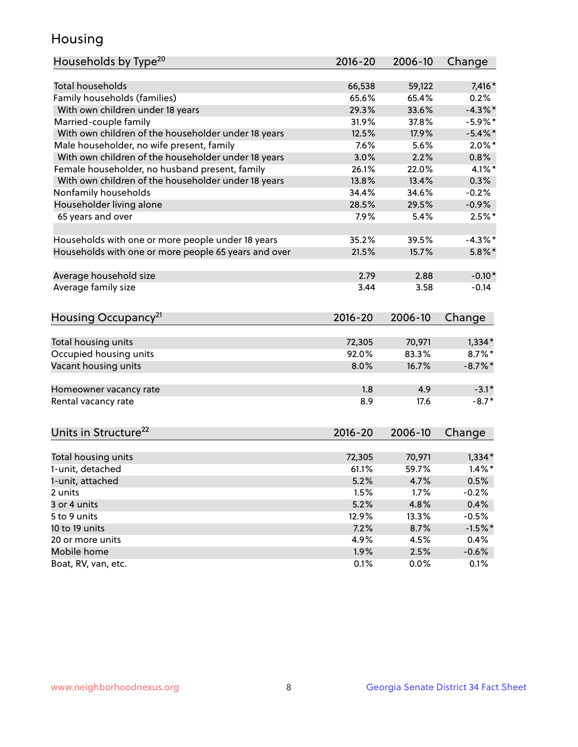## Housing

| Households by Type <sup>20</sup>                     | 2016-20      | 2006-10      | Change          |
|------------------------------------------------------|--------------|--------------|-----------------|
|                                                      |              |              |                 |
| <b>Total households</b>                              | 66,538       | 59,122       | 7,416 *         |
| Family households (families)                         | 65.6%        | 65.4%        | 0.2%            |
| With own children under 18 years                     | 29.3%        | 33.6%        | $-4.3\%$ *      |
| Married-couple family                                | 31.9%        | 37.8%        | $-5.9\%$ *      |
| With own children of the householder under 18 years  | 12.5%        | 17.9%        | $-5.4\%$ *      |
| Male householder, no wife present, family            | 7.6%         | 5.6%         | $2.0\%$ *       |
| With own children of the householder under 18 years  | 3.0%         | 2.2%         | 0.8%            |
| Female householder, no husband present, family       | 26.1%        | 22.0%        | $4.1\%$ *       |
| With own children of the householder under 18 years  | 13.8%        | 13.4%        | 0.3%            |
| Nonfamily households                                 | 34.4%        | 34.6%        | $-0.2%$         |
| Householder living alone                             | 28.5%        | 29.5%        | $-0.9%$         |
| 65 years and over                                    | 7.9%         | 5.4%         | $2.5%$ *        |
|                                                      |              |              |                 |
| Households with one or more people under 18 years    | 35.2%        | 39.5%        | $-4.3\%$ *      |
| Households with one or more people 65 years and over | 21.5%        | 15.7%        | $5.8\%$ *       |
|                                                      |              |              |                 |
| Average household size                               | 2.79         | 2.88         | $-0.10*$        |
| Average family size                                  | 3.44         | 3.58         | $-0.14$         |
| Housing Occupancy <sup>21</sup>                      | 2016-20      | 2006-10      | Change          |
| Total housing units                                  | 72,305       | 70,971       | $1,334*$        |
| Occupied housing units                               | 92.0%        | 83.3%        | $8.7\%$ *       |
|                                                      |              | 16.7%        |                 |
| Vacant housing units                                 | 8.0%         |              | $-8.7\%$ *      |
| Homeowner vacancy rate                               | 1.8          | 4.9          | $-3.1*$         |
| Rental vacancy rate                                  | 8.9          | 17.6         | $-8.7*$         |
|                                                      |              |              |                 |
| Units in Structure <sup>22</sup>                     |              |              |                 |
|                                                      | $2016 - 20$  | 2006-10      | Change          |
|                                                      |              |              |                 |
| Total housing units                                  | 72,305       | 70,971       | $1,334*$        |
| 1-unit, detached                                     | 61.1%        | 59.7%        | $1.4\%$ *       |
| 1-unit, attached                                     | 5.2%         | 4.7%         | 0.5%            |
| 2 units                                              | 1.5%         | 1.7%         | $-0.2%$         |
| 3 or 4 units                                         | 5.2%         | 4.8%         | 0.4%            |
| 5 to 9 units                                         | 12.9%        | 13.3%        | $-0.5%$         |
| 10 to 19 units                                       | 7.2%         | 8.7%         | $-1.5%$ *       |
| 20 or more units                                     | 4.9%         | 4.5%         | 0.4%            |
| Mobile home<br>Boat, RV, van, etc.                   | 1.9%<br>0.1% | 2.5%<br>0.0% | $-0.6%$<br>0.1% |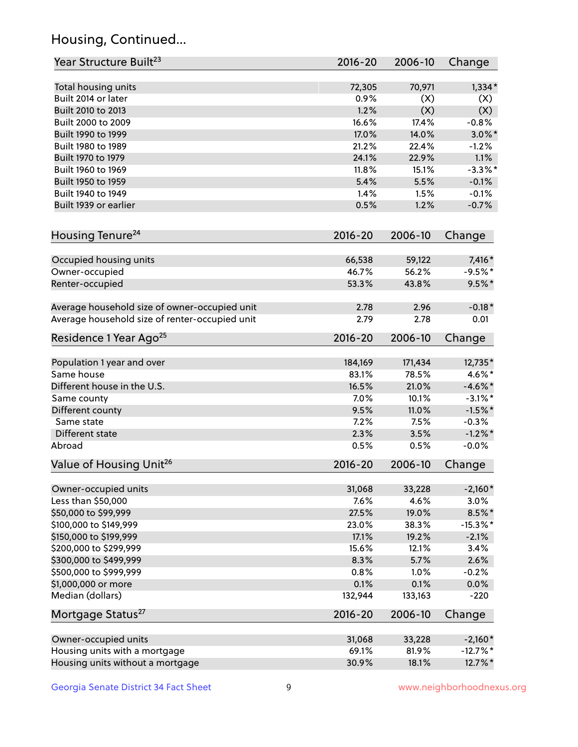## Housing, Continued...

| Year Structure Built <sup>23</sup>             | 2016-20     | 2006-10 | Change      |
|------------------------------------------------|-------------|---------|-------------|
| Total housing units                            | 72,305      | 70,971  | $1,334*$    |
| Built 2014 or later                            | 0.9%        | (X)     | (X)         |
| Built 2010 to 2013                             | 1.2%        | (X)     | (X)         |
| Built 2000 to 2009                             | 16.6%       | 17.4%   | $-0.8%$     |
| Built 1990 to 1999                             | 17.0%       | 14.0%   | $3.0\%$ *   |
| Built 1980 to 1989                             | 21.2%       | 22.4%   | $-1.2%$     |
| Built 1970 to 1979                             | 24.1%       | 22.9%   | 1.1%        |
| Built 1960 to 1969                             | 11.8%       | 15.1%   | $-3.3%$ *   |
| Built 1950 to 1959                             | 5.4%        | 5.5%    | $-0.1%$     |
| Built 1940 to 1949                             | 1.4%        | 1.5%    | $-0.1%$     |
| Built 1939 or earlier                          | 0.5%        | 1.2%    | $-0.7%$     |
| Housing Tenure <sup>24</sup>                   | $2016 - 20$ | 2006-10 | Change      |
| Occupied housing units                         | 66,538      | 59,122  | $7,416*$    |
| Owner-occupied                                 | 46.7%       | 56.2%   | $-9.5%$ *   |
| Renter-occupied                                | 53.3%       | 43.8%   | $9.5%$ *    |
| Average household size of owner-occupied unit  | 2.78        | 2.96    | $-0.18*$    |
| Average household size of renter-occupied unit | 2.79        | 2.78    | 0.01        |
| Residence 1 Year Ago <sup>25</sup>             | 2016-20     | 2006-10 | Change      |
| Population 1 year and over                     | 184,169     | 171,434 | 12,735*     |
| Same house                                     | 83.1%       | 78.5%   | 4.6%*       |
| Different house in the U.S.                    | 16.5%       | 21.0%   | $-4.6\%$ *  |
| Same county                                    | 7.0%        | 10.1%   | $-3.1\%$ *  |
| Different county                               | 9.5%        | 11.0%   | $-1.5%$ *   |
| Same state                                     | 7.2%        | 7.5%    | $-0.3%$     |
| Different state                                | 2.3%        | 3.5%    | $-1.2\%$ *  |
| Abroad                                         | 0.5%        | 0.5%    | $-0.0%$     |
| Value of Housing Unit <sup>26</sup>            | $2016 - 20$ | 2006-10 | Change      |
| Owner-occupied units                           | 31,068      | 33,228  | $-2,160*$   |
| Less than \$50,000                             | 7.6%        | 4.6%    | 3.0%        |
| \$50,000 to \$99,999                           | 27.5%       | 19.0%   | $8.5\%$ *   |
| \$100,000 to \$149,999                         | 23.0%       | 38.3%   | $-15.3\%$ * |
| \$150,000 to \$199,999                         | 17.1%       | 19.2%   | $-2.1%$     |
| \$200,000 to \$299,999                         | 15.6%       | 12.1%   | 3.4%        |
| \$300,000 to \$499,999                         | 8.3%        | 5.7%    | 2.6%        |
| \$500,000 to \$999,999                         | 0.8%        | 1.0%    | $-0.2%$     |
| \$1,000,000 or more                            | 0.1%        | 0.1%    | 0.0%        |
| Median (dollars)                               | 132,944     | 133,163 | $-220$      |
| Mortgage Status <sup>27</sup>                  | $2016 - 20$ | 2006-10 | Change      |
| Owner-occupied units                           | 31,068      | 33,228  | $-2,160*$   |
| Housing units with a mortgage                  | 69.1%       | 81.9%   | $-12.7\%$ * |
| Housing units without a mortgage               | 30.9%       | 18.1%   | 12.7%*      |
|                                                |             |         |             |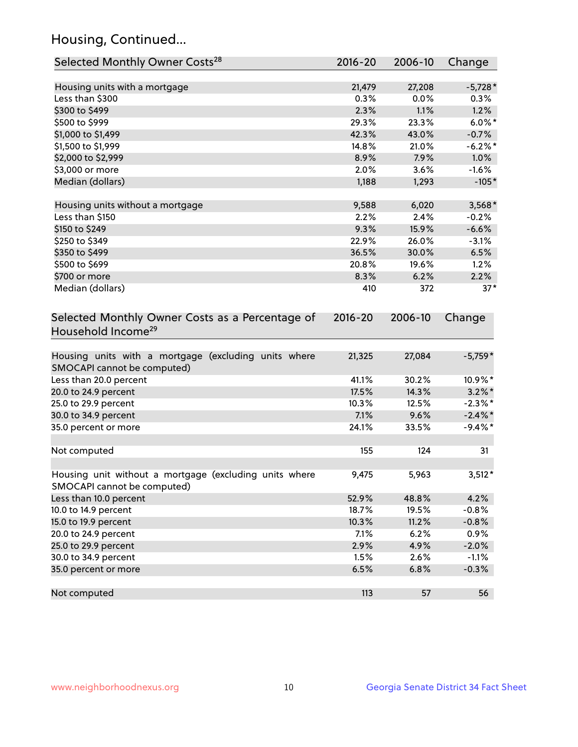## Housing, Continued...

| Selected Monthly Owner Costs <sup>28</sup>                                            | 2016-20     | 2006-10 | Change     |
|---------------------------------------------------------------------------------------|-------------|---------|------------|
| Housing units with a mortgage                                                         | 21,479      | 27,208  | $-5,728*$  |
| Less than \$300                                                                       | 0.3%        | 0.0%    | 0.3%       |
| \$300 to \$499                                                                        | 2.3%        | 1.1%    | 1.2%       |
| \$500 to \$999                                                                        | 29.3%       | 23.3%   | $6.0\%$ *  |
| \$1,000 to \$1,499                                                                    | 42.3%       | 43.0%   | $-0.7%$    |
| \$1,500 to \$1,999                                                                    | 14.8%       | 21.0%   | $-6.2\%$ * |
| \$2,000 to \$2,999                                                                    | 8.9%        | 7.9%    | 1.0%       |
| \$3,000 or more                                                                       | 2.0%        | 3.6%    | $-1.6%$    |
| Median (dollars)                                                                      | 1,188       | 1,293   | $-105*$    |
| Housing units without a mortgage                                                      | 9,588       | 6,020   | $3,568*$   |
| Less than \$150                                                                       | 2.2%        | 2.4%    | $-0.2%$    |
| \$150 to \$249                                                                        | 9.3%        | 15.9%   | $-6.6%$    |
| \$250 to \$349                                                                        | 22.9%       | 26.0%   | $-3.1%$    |
| \$350 to \$499                                                                        | 36.5%       | 30.0%   | 6.5%       |
| \$500 to \$699                                                                        | 20.8%       | 19.6%   | 1.2%       |
| \$700 or more                                                                         | 8.3%        | 6.2%    | 2.2%       |
| Median (dollars)                                                                      | 410         | 372     | $37*$      |
| Selected Monthly Owner Costs as a Percentage of<br>Household Income <sup>29</sup>     | $2016 - 20$ | 2006-10 | Change     |
| Housing units with a mortgage (excluding units where<br>SMOCAPI cannot be computed)   | 21,325      | 27,084  | $-5,759*$  |
| Less than 20.0 percent                                                                | 41.1%       | 30.2%   | 10.9%*     |
| 20.0 to 24.9 percent                                                                  | 17.5%       | 14.3%   | $3.2\%$ *  |
| 25.0 to 29.9 percent                                                                  | 10.3%       | 12.5%   | $-2.3\%$ * |
| 30.0 to 34.9 percent                                                                  | 7.1%        | 9.6%    | $-2.4\%$ * |
| 35.0 percent or more                                                                  | 24.1%       | 33.5%   | $-9.4\%$ * |
| Not computed                                                                          | 155         | 124     | 31         |
| Housing unit without a mortgage (excluding units where<br>SMOCAPI cannot be computed) | 9,475       | 5,963   | $3,512*$   |
| Less than 10.0 percent                                                                | 52.9%       | 48.8%   | 4.2%       |
| 10.0 to 14.9 percent                                                                  | 18.7%       | 19.5%   | $-0.8%$    |
| 15.0 to 19.9 percent                                                                  | 10.3%       | 11.2%   | $-0.8%$    |
| 20.0 to 24.9 percent                                                                  | 7.1%        | 6.2%    | 0.9%       |
| 25.0 to 29.9 percent                                                                  | 2.9%        | 4.9%    | $-2.0%$    |
| 30.0 to 34.9 percent                                                                  | 1.5%        | 2.6%    | $-1.1%$    |
| 35.0 percent or more                                                                  | 6.5%        | 6.8%    | $-0.3%$    |
| Not computed                                                                          | 113         | 57      | 56         |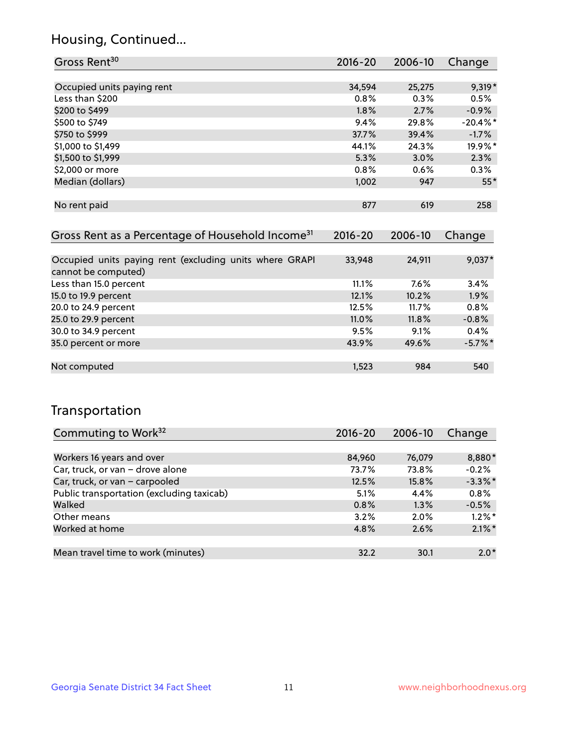## Housing, Continued...

| Gross Rent <sup>30</sup>                                     | 2016-20     | 2006-10     | Change      |
|--------------------------------------------------------------|-------------|-------------|-------------|
|                                                              |             |             |             |
| Occupied units paying rent                                   | 34,594      | 25,275      | $9,319*$    |
| Less than \$200                                              | 0.8%        | 0.3%        | 0.5%        |
| \$200 to \$499                                               | $1.8\%$     | 2.7%        | $-0.9\%$    |
| \$500 to \$749                                               | 9.4%        | 29.8%       | $-20.4\%$ * |
| \$750 to \$999                                               | 37.7%       | 39.4%       | $-1.7%$     |
| \$1,000 to \$1,499                                           | 44.1%       | 24.3%       | 19.9%*      |
| \$1,500 to \$1,999                                           | 5.3%        | 3.0%        | 2.3%        |
| \$2,000 or more                                              | 0.8%        | 0.6%        | 0.3%        |
| Median (dollars)                                             | 1,002       | 947         | $55*$       |
|                                                              |             |             |             |
| No rent paid                                                 | 877         | 619         | 258         |
|                                                              |             |             |             |
| Gross Rent as a Percentage of Household Income <sup>31</sup> | $2016 - 20$ | $2006 - 10$ | Change      |

| 0.000 MONT QD & T ORGONICAGO OF HIS QUONTON MICONING                           |        |        | -------    |
|--------------------------------------------------------------------------------|--------|--------|------------|
|                                                                                |        |        |            |
| Occupied units paying rent (excluding units where GRAPI<br>cannot be computed) | 33,948 | 24,911 | $9,037*$   |
| Less than 15.0 percent                                                         | 11.1%  | 7.6%   | 3.4%       |
| 15.0 to 19.9 percent                                                           | 12.1%  | 10.2%  | 1.9%       |
| 20.0 to 24.9 percent                                                           | 12.5%  | 11.7%  | 0.8%       |
| 25.0 to 29.9 percent                                                           | 11.0%  | 11.8%  | $-0.8%$    |
| 30.0 to 34.9 percent                                                           | 9.5%   | 9.1%   | 0.4%       |
| 35.0 percent or more                                                           | 43.9%  | 49.6%  | $-5.7\%$ * |
|                                                                                |        |        |            |
| Not computed                                                                   | 1,523  | 984    | 540        |
|                                                                                |        |        |            |

### Transportation

| Commuting to Work <sup>32</sup>           | 2016-20 | 2006-10 | Change     |
|-------------------------------------------|---------|---------|------------|
|                                           |         |         |            |
| Workers 16 years and over                 | 84,960  | 76,079  | 8,880*     |
| Car, truck, or van - drove alone          | 73.7%   | 73.8%   | $-0.2%$    |
| Car, truck, or van - carpooled            | 12.5%   | 15.8%   | $-3.3\%$ * |
| Public transportation (excluding taxicab) | 5.1%    | 4.4%    | 0.8%       |
| Walked                                    | 0.8%    | 1.3%    | $-0.5%$    |
| Other means                               | 3.2%    | $2.0\%$ | $1.2\%$ *  |
| Worked at home                            | 4.8%    | 2.6%    | $2.1\%$ *  |
|                                           |         |         |            |
| Mean travel time to work (minutes)        | 32.2    | 30.1    | $2.0*$     |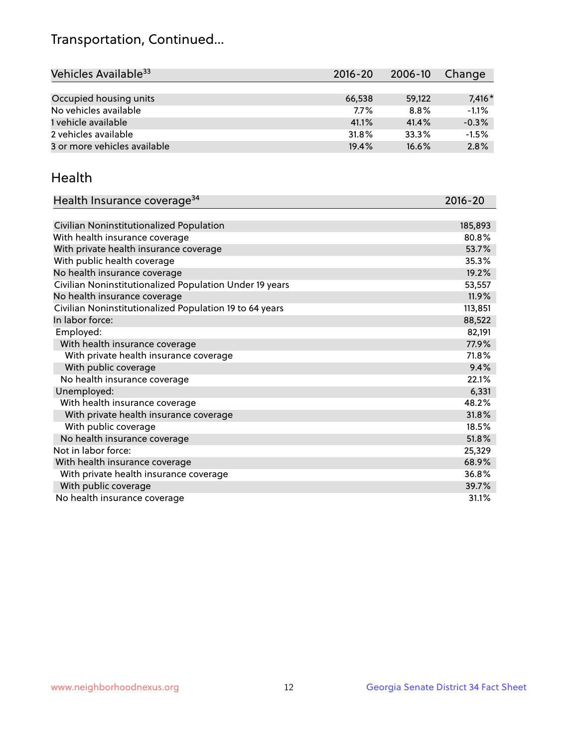## Transportation, Continued...

| Vehicles Available <sup>33</sup> | 2016-20 | 2006-10 | Change   |
|----------------------------------|---------|---------|----------|
|                                  |         |         |          |
| Occupied housing units           | 66,538  | 59.122  | $7,416*$ |
| No vehicles available            | 7.7%    | $8.8\%$ | $-1.1%$  |
| 1 vehicle available              | 41.1%   | 41.4%   | $-0.3%$  |
| 2 vehicles available             | 31.8%   | 33.3%   | $-1.5%$  |
| 3 or more vehicles available     | 19.4%   | 16.6%   | 2.8%     |

#### Health

| Health Insurance coverage <sup>34</sup>                 | 2016-20 |
|---------------------------------------------------------|---------|
|                                                         |         |
| Civilian Noninstitutionalized Population                | 185,893 |
| With health insurance coverage                          | 80.8%   |
| With private health insurance coverage                  | 53.7%   |
| With public health coverage                             | 35.3%   |
| No health insurance coverage                            | 19.2%   |
| Civilian Noninstitutionalized Population Under 19 years | 53,557  |
| No health insurance coverage                            | 11.9%   |
| Civilian Noninstitutionalized Population 19 to 64 years | 113,851 |
| In labor force:                                         | 88,522  |
| Employed:                                               | 82,191  |
| With health insurance coverage                          | 77.9%   |
| With private health insurance coverage                  | 71.8%   |
| With public coverage                                    | 9.4%    |
| No health insurance coverage                            | 22.1%   |
| Unemployed:                                             | 6,331   |
| With health insurance coverage                          | 48.2%   |
| With private health insurance coverage                  | 31.8%   |
| With public coverage                                    | 18.5%   |
| No health insurance coverage                            | 51.8%   |
| Not in labor force:                                     | 25,329  |
| With health insurance coverage                          | 68.9%   |
| With private health insurance coverage                  | 36.8%   |
| With public coverage                                    | 39.7%   |
| No health insurance coverage                            | 31.1%   |